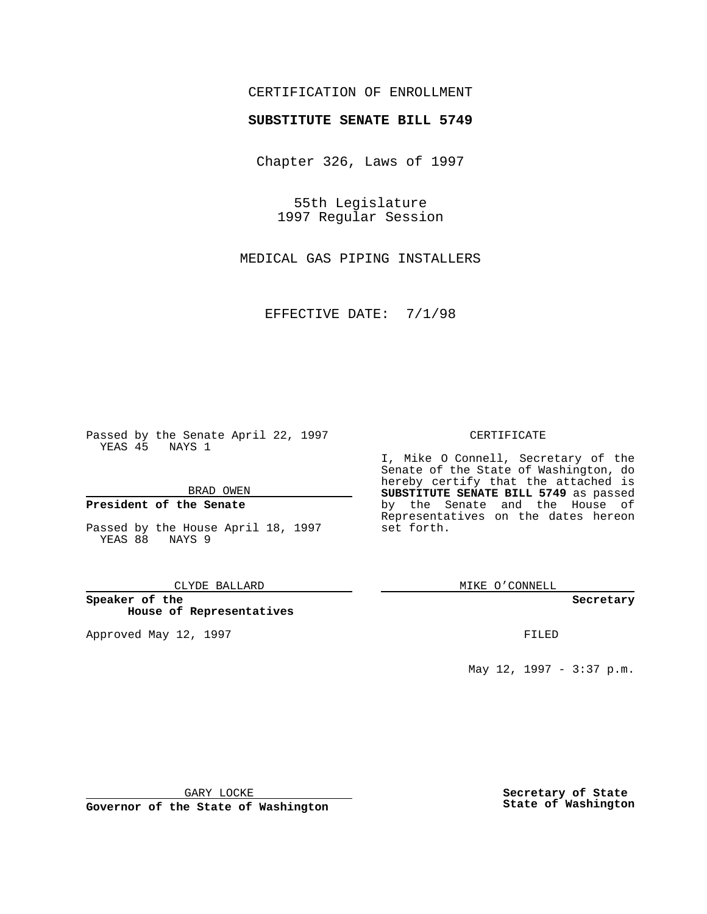## CERTIFICATION OF ENROLLMENT

# **SUBSTITUTE SENATE BILL 5749**

Chapter 326, Laws of 1997

55th Legislature 1997 Regular Session

MEDICAL GAS PIPING INSTALLERS

EFFECTIVE DATE: 7/1/98

Passed by the Senate April 22, 1997 YEAS 45 NAYS 1

BRAD OWEN

## **President of the Senate**

Passed by the House April 18, 1997 YEAS 88 NAYS 9

CLYDE BALLARD

**Speaker of the House of Representatives**

Approved May 12, 1997 **FILED** 

### CERTIFICATE

I, Mike O Connell, Secretary of the Senate of the State of Washington, do hereby certify that the attached is **SUBSTITUTE SENATE BILL 5749** as passed by the Senate and the House of Representatives on the dates hereon set forth.

MIKE O'CONNELL

#### **Secretary**

May 12, 1997 - 3:37 p.m.

GARY LOCKE

**Governor of the State of Washington**

**Secretary of State State of Washington**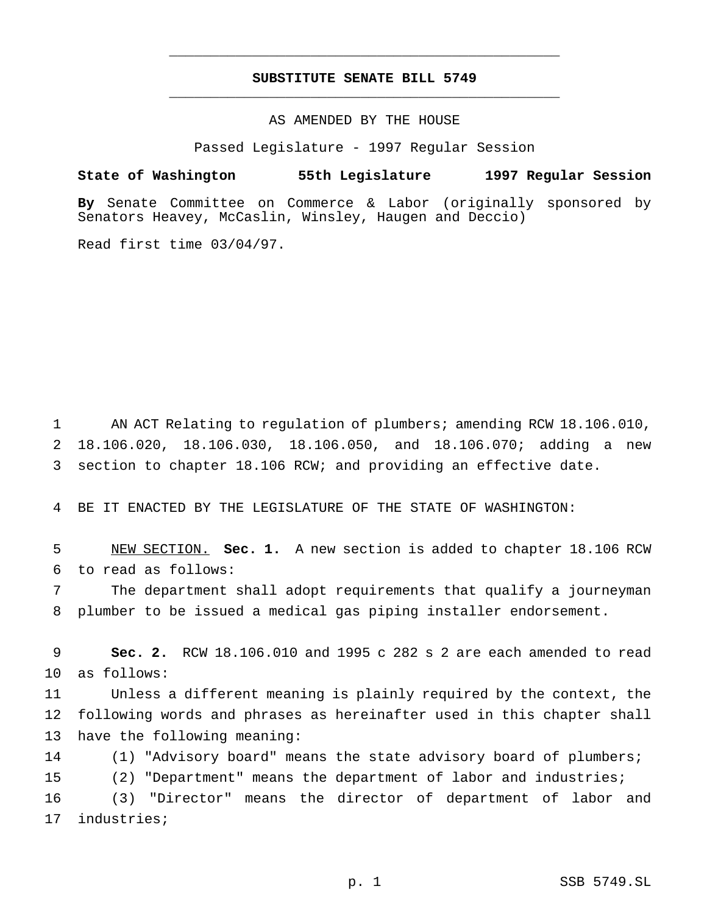## **SUBSTITUTE SENATE BILL 5749** \_\_\_\_\_\_\_\_\_\_\_\_\_\_\_\_\_\_\_\_\_\_\_\_\_\_\_\_\_\_\_\_\_\_\_\_\_\_\_\_\_\_\_\_\_\_\_

\_\_\_\_\_\_\_\_\_\_\_\_\_\_\_\_\_\_\_\_\_\_\_\_\_\_\_\_\_\_\_\_\_\_\_\_\_\_\_\_\_\_\_\_\_\_\_

## AS AMENDED BY THE HOUSE

Passed Legislature - 1997 Regular Session

## **State of Washington 55th Legislature 1997 Regular Session**

**By** Senate Committee on Commerce & Labor (originally sponsored by Senators Heavey, McCaslin, Winsley, Haugen and Deccio)

Read first time 03/04/97.

 AN ACT Relating to regulation of plumbers; amending RCW 18.106.010, 18.106.020, 18.106.030, 18.106.050, and 18.106.070; adding a new section to chapter 18.106 RCW; and providing an effective date.

BE IT ENACTED BY THE LEGISLATURE OF THE STATE OF WASHINGTON:

 NEW SECTION. **Sec. 1.** A new section is added to chapter 18.106 RCW to read as follows:

 The department shall adopt requirements that qualify a journeyman plumber to be issued a medical gas piping installer endorsement.

 **Sec. 2.** RCW 18.106.010 and 1995 c 282 s 2 are each amended to read as follows:

 Unless a different meaning is plainly required by the context, the following words and phrases as hereinafter used in this chapter shall have the following meaning:

 (1) "Advisory board" means the state advisory board of plumbers; (2) "Department" means the department of labor and industries; (3) "Director" means the director of department of labor and industries;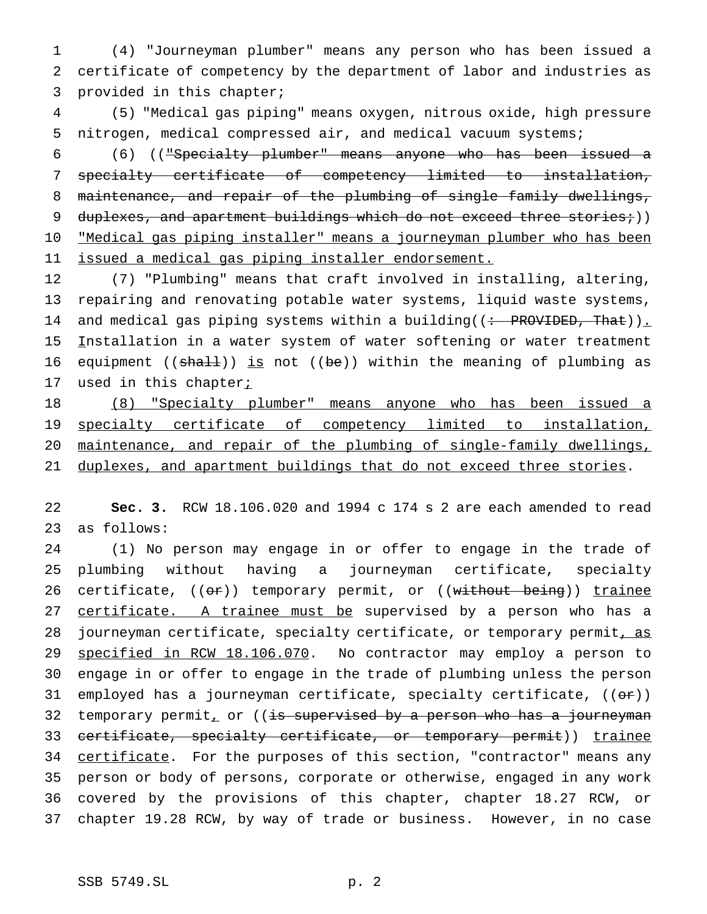1 (4) "Journeyman plumber" means any person who has been issued a 2 certificate of competency by the department of labor and industries as 3 provided in this chapter;

4 (5) "Medical gas piping" means oxygen, nitrous oxide, high pressure 5 nitrogen, medical compressed air, and medical vacuum systems;

6 (6) (("Specialty plumber" means anyone who has been issued a 7 specialty certificate of competency limited to installation, 8 maintenance, and repair of the plumbing of single family dwellings, 9 duplexes, and apartment buildings which do not exceed three stories;)) 10 "Medical gas piping installer" means a journeyman plumber who has been 11 issued a medical gas piping installer endorsement.

12 (7) "Plumbing" means that craft involved in installing, altering, 13 repairing and renovating potable water systems, liquid waste systems, 14 and medical gas piping systems within a building((: PROVIDED, That)). 15 Installation in a water system of water softening or water treatment 16 equipment (( $shall$ )) is not (( $be$ )) within the meaning of plumbing as 17 used in this chapter<sub>i</sub>

 (8) "Specialty plumber" means anyone who has been issued a 19 specialty certificate of competency limited to installation, maintenance, and repair of the plumbing of single-family dwellings, duplexes, and apartment buildings that do not exceed three stories.

22 **Sec. 3.** RCW 18.106.020 and 1994 c 174 s 2 are each amended to read 23 as follows:

24 (1) No person may engage in or offer to engage in the trade of 25 plumbing without having a journeyman certificate, specialty 26 certificate, ((or)) temporary permit, or ((without being)) trainee 27 certificate. A trainee must be supervised by a person who has a 28 journeyman certificate, specialty certificate, or temporary permit, as 29 specified in RCW 18.106.070. No contractor may employ a person to 30 engage in or offer to engage in the trade of plumbing unless the person 31 employed has a journeyman certificate, specialty certificate,  $((\theta \cdot \hat{r}))$ 32 temporary permit, or ((is supervised by a person who has a journeyman 33 certificate, specialty certificate, or temporary permit)) trainee 34 certificate. For the purposes of this section, "contractor" means any 35 person or body of persons, corporate or otherwise, engaged in any work 36 covered by the provisions of this chapter, chapter 18.27 RCW, or 37 chapter 19.28 RCW, by way of trade or business. However, in no case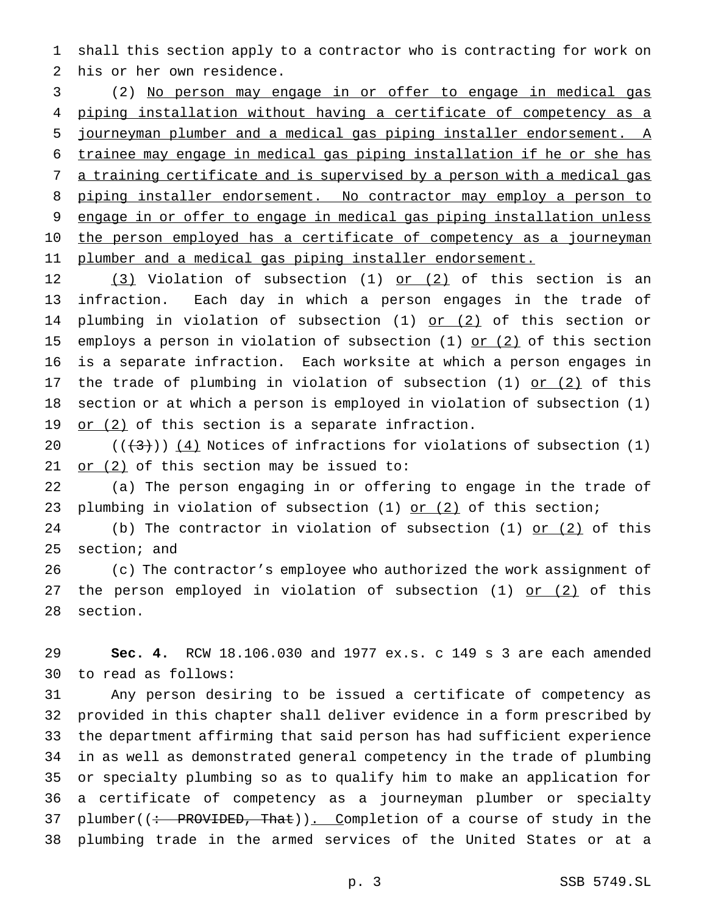shall this section apply to a contractor who is contracting for work on his or her own residence.

 (2) No person may engage in or offer to engage in medical gas piping installation without having a certificate of competency as a journeyman plumber and a medical gas piping installer endorsement. A trainee may engage in medical gas piping installation if he or she has a training certificate and is supervised by a person with a medical gas 8 piping installer endorsement. No contractor may employ a person to engage in or offer to engage in medical gas piping installation unless 10 the person employed has a certificate of competency as a journeyman 11 plumber and a medical gas piping installer endorsement.

12 (3) Violation of subsection (1) or (2) of this section is an infraction. Each day in which a person engages in the trade of 14 plumbing in violation of subsection (1) or (2) of this section or 15 employs a person in violation of subsection  $(1)$  or  $(2)$  of this section is a separate infraction. Each worksite at which a person engages in 17 the trade of plumbing in violation of subsection (1)  $\text{or}$  (2) of this section or at which a person is employed in violation of subsection (1) 19 or  $(2)$  of this section is a separate infraction.

 $((+3))$  (4) Notices of infractions for violations of subsection (1) 21 or  $(2)$  of this section may be issued to:

 (a) The person engaging in or offering to engage in the trade of 23 plumbing in violation of subsection  $(1)$  or  $(2)$  of this section;

24 (b) The contractor in violation of subsection (1) or (2) of this section; and

 (c) The contractor's employee who authorized the work assignment of 27 the person employed in violation of subsection (1) or (2) of this section.

 **Sec. 4.** RCW 18.106.030 and 1977 ex.s. c 149 s 3 are each amended to read as follows:

 Any person desiring to be issued a certificate of competency as provided in this chapter shall deliver evidence in a form prescribed by the department affirming that said person has had sufficient experience in as well as demonstrated general competency in the trade of plumbing or specialty plumbing so as to qualify him to make an application for a certificate of competency as a journeyman plumber or specialty 37 plumber((: PROVIDED, That)). Completion of a course of study in the plumbing trade in the armed services of the United States or at a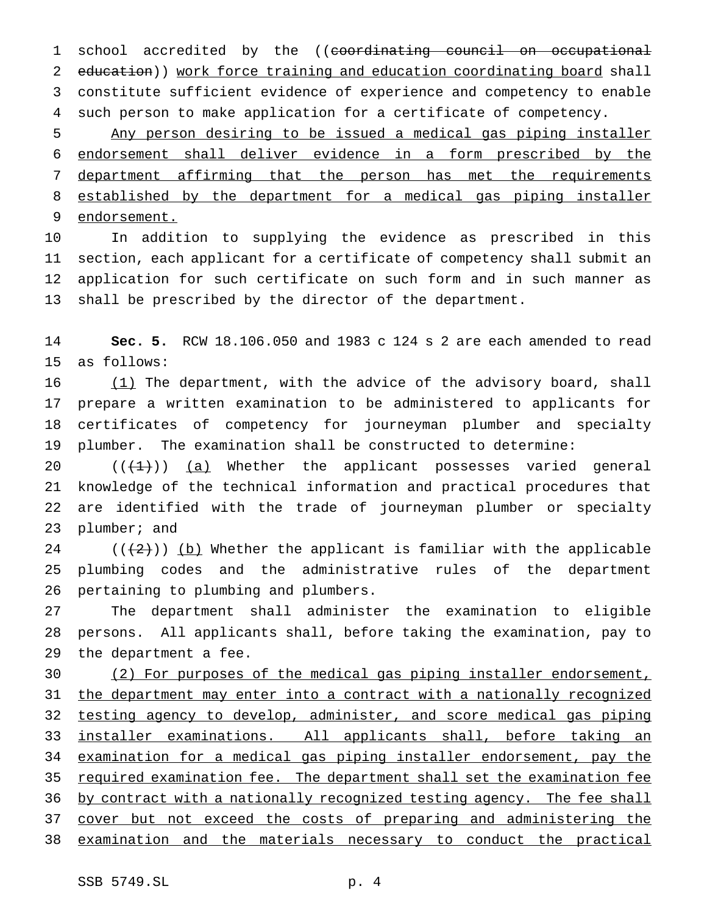1 school accredited by the ((coordinating council on occupational 2 education)) work force training and education coordinating board shall constitute sufficient evidence of experience and competency to enable such person to make application for a certificate of competency.

 Any person desiring to be issued a medical gas piping installer endorsement shall deliver evidence in a form prescribed by the department affirming that the person has met the requirements established by the department for a medical gas piping installer endorsement.

 In addition to supplying the evidence as prescribed in this section, each applicant for a certificate of competency shall submit an application for such certificate on such form and in such manner as shall be prescribed by the director of the department.

 **Sec. 5.** RCW 18.106.050 and 1983 c 124 s 2 are each amended to read as follows:

 $(1)$  The department, with the advice of the advisory board, shall prepare a written examination to be administered to applicants for certificates of competency for journeyman plumber and specialty plumber. The examination shall be constructed to determine:

 $((+1))$   $(a)$  Whether the applicant possesses varied general knowledge of the technical information and practical procedures that are identified with the trade of journeyman plumber or specialty plumber; and

24 ( $(\frac{2}{2})$ ) (b) Whether the applicant is familiar with the applicable plumbing codes and the administrative rules of the department pertaining to plumbing and plumbers.

 The department shall administer the examination to eligible persons. All applicants shall, before taking the examination, pay to the department a fee.

 (2) For purposes of the medical gas piping installer endorsement, 31 the department may enter into a contract with a nationally recognized testing agency to develop, administer, and score medical gas piping installer examinations. All applicants shall, before taking an examination for a medical gas piping installer endorsement, pay the 35 required examination fee. The department shall set the examination fee 36 by contract with a nationally recognized testing agency. The fee shall cover but not exceed the costs of preparing and administering the examination and the materials necessary to conduct the practical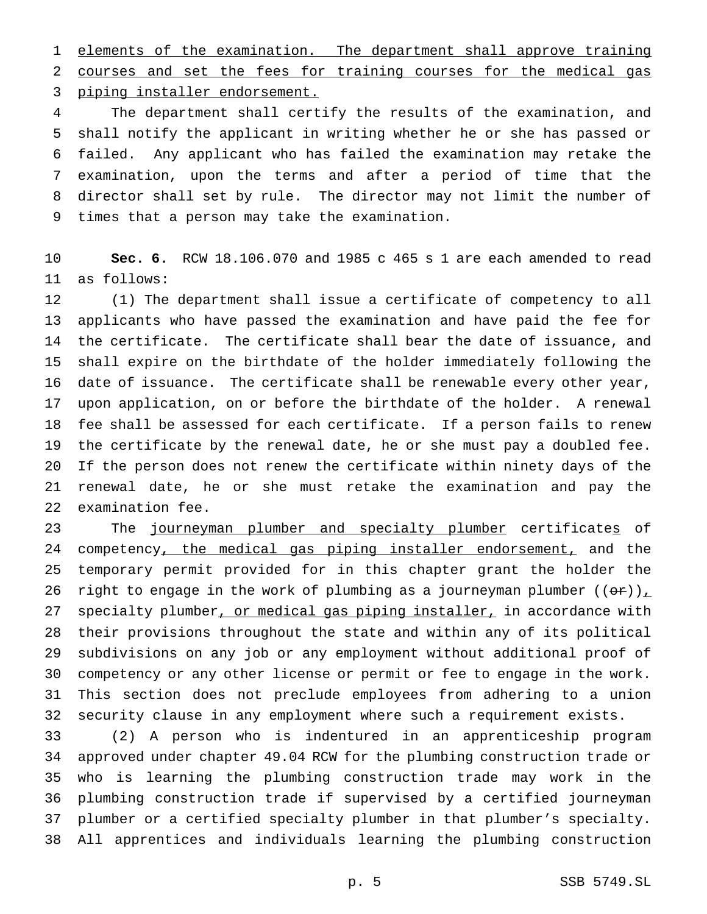elements of the examination. The department shall approve training courses and set the fees for training courses for the medical gas piping installer endorsement.

 The department shall certify the results of the examination, and shall notify the applicant in writing whether he or she has passed or failed. Any applicant who has failed the examination may retake the examination, upon the terms and after a period of time that the director shall set by rule. The director may not limit the number of times that a person may take the examination.

 **Sec. 6.** RCW 18.106.070 and 1985 c 465 s 1 are each amended to read as follows:

 (1) The department shall issue a certificate of competency to all applicants who have passed the examination and have paid the fee for the certificate. The certificate shall bear the date of issuance, and shall expire on the birthdate of the holder immediately following the date of issuance. The certificate shall be renewable every other year, upon application, on or before the birthdate of the holder. A renewal fee shall be assessed for each certificate. If a person fails to renew the certificate by the renewal date, he or she must pay a doubled fee. If the person does not renew the certificate within ninety days of the renewal date, he or she must retake the examination and pay the examination fee.

23 The journeyman plumber and specialty plumber certificates of 24 competency, the medical gas piping installer endorsement, and the temporary permit provided for in this chapter grant the holder the 26 right to engage in the work of plumbing as a journeyman plumber  $((\theta \cdot \tau))_L$ 27 specialty plumber, or medical gas piping installer, in accordance with their provisions throughout the state and within any of its political subdivisions on any job or any employment without additional proof of competency or any other license or permit or fee to engage in the work. This section does not preclude employees from adhering to a union security clause in any employment where such a requirement exists.

 (2) A person who is indentured in an apprenticeship program approved under chapter 49.04 RCW for the plumbing construction trade or who is learning the plumbing construction trade may work in the plumbing construction trade if supervised by a certified journeyman plumber or a certified specialty plumber in that plumber's specialty. All apprentices and individuals learning the plumbing construction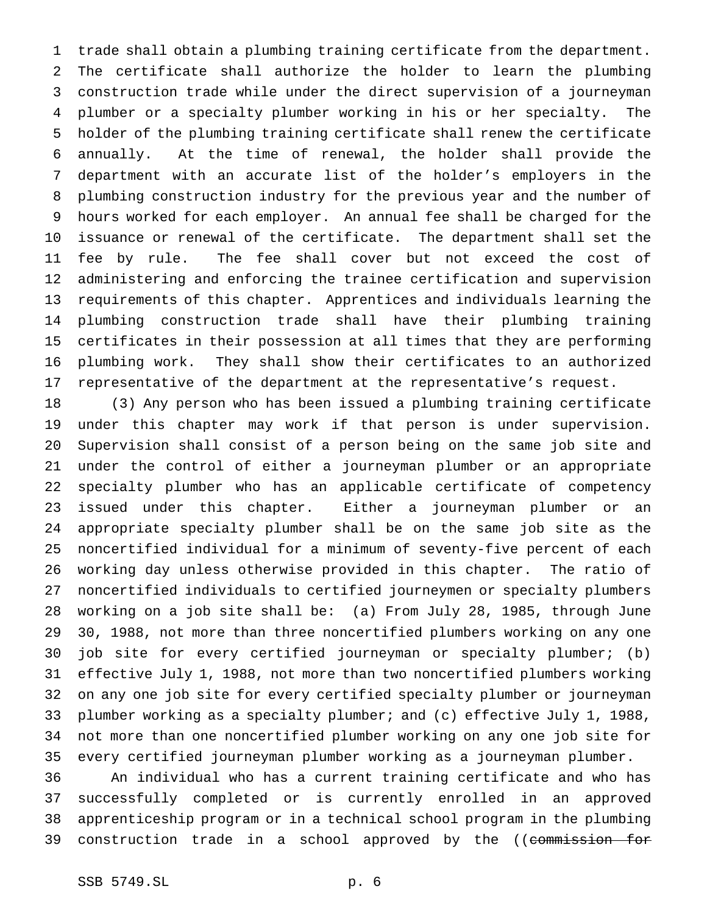trade shall obtain a plumbing training certificate from the department. The certificate shall authorize the holder to learn the plumbing construction trade while under the direct supervision of a journeyman plumber or a specialty plumber working in his or her specialty. The holder of the plumbing training certificate shall renew the certificate annually. At the time of renewal, the holder shall provide the department with an accurate list of the holder's employers in the plumbing construction industry for the previous year and the number of hours worked for each employer. An annual fee shall be charged for the issuance or renewal of the certificate. The department shall set the fee by rule. The fee shall cover but not exceed the cost of administering and enforcing the trainee certification and supervision requirements of this chapter. Apprentices and individuals learning the plumbing construction trade shall have their plumbing training certificates in their possession at all times that they are performing plumbing work. They shall show their certificates to an authorized representative of the department at the representative's request.

 (3) Any person who has been issued a plumbing training certificate under this chapter may work if that person is under supervision. Supervision shall consist of a person being on the same job site and under the control of either a journeyman plumber or an appropriate specialty plumber who has an applicable certificate of competency issued under this chapter. Either a journeyman plumber or an appropriate specialty plumber shall be on the same job site as the noncertified individual for a minimum of seventy-five percent of each working day unless otherwise provided in this chapter. The ratio of noncertified individuals to certified journeymen or specialty plumbers working on a job site shall be: (a) From July 28, 1985, through June 30, 1988, not more than three noncertified plumbers working on any one job site for every certified journeyman or specialty plumber; (b) effective July 1, 1988, not more than two noncertified plumbers working on any one job site for every certified specialty plumber or journeyman plumber working as a specialty plumber; and (c) effective July 1, 1988, not more than one noncertified plumber working on any one job site for every certified journeyman plumber working as a journeyman plumber.

 An individual who has a current training certificate and who has successfully completed or is currently enrolled in an approved apprenticeship program or in a technical school program in the plumbing 39 construction trade in a school approved by the ((commission for